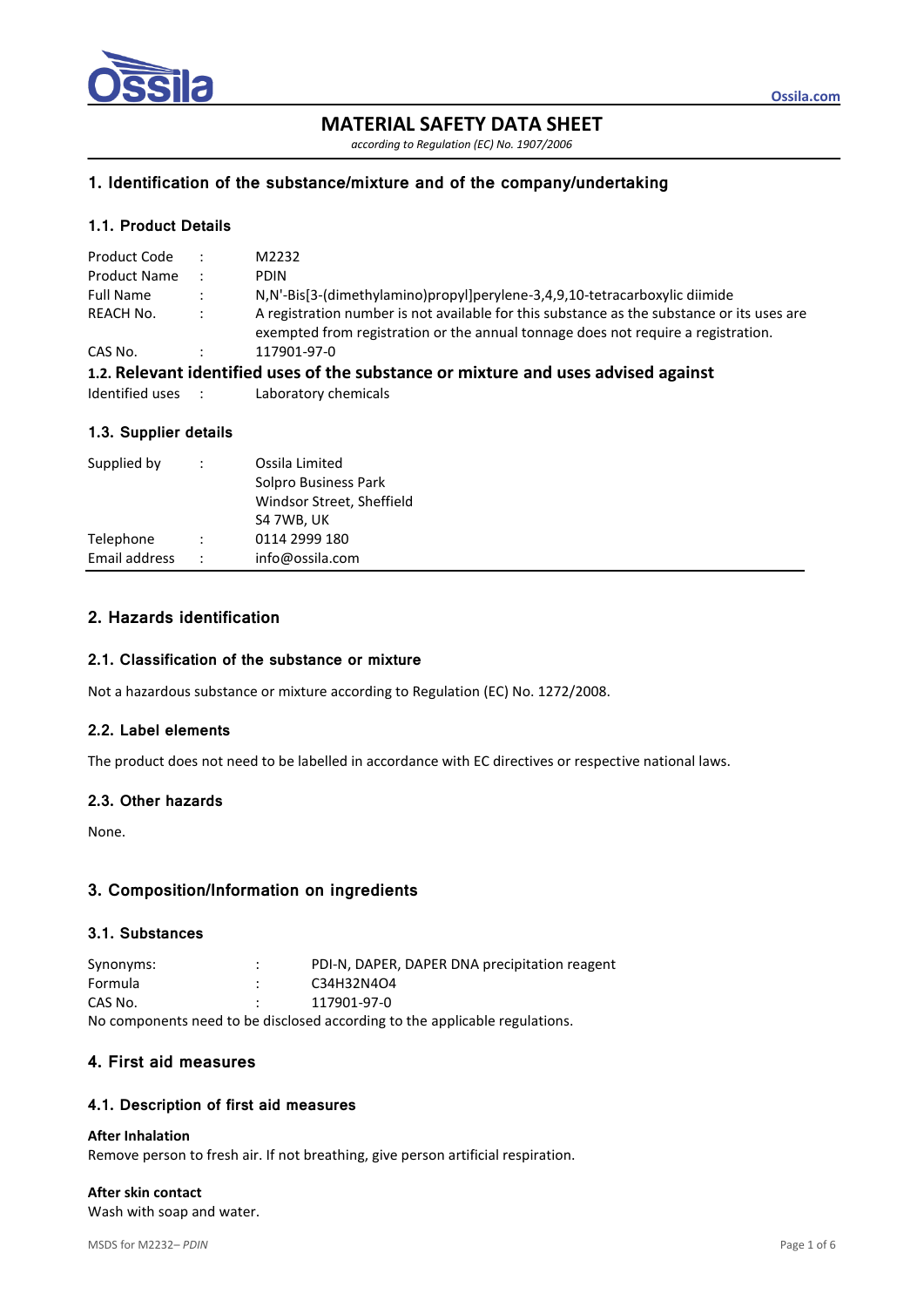

# **MATERIAL SAFETY DATA SHEET**

*according to Regulation (EC) No. 1907/2006*

## **1. Identification of the substance/mixture and of the company/undertaking**

## **1.1. Product Details**

| Product Code        |                      | M2232                                                                                                                                                                           |
|---------------------|----------------------|---------------------------------------------------------------------------------------------------------------------------------------------------------------------------------|
| <b>Product Name</b> |                      | <b>PDIN</b>                                                                                                                                                                     |
| <b>Full Name</b>    | $\ddot{\phantom{0}}$ | N,N'-Bis[3-(dimethylamino)propyl]perylene-3,4,9,10-tetracarboxylic diimide                                                                                                      |
| <b>REACH No.</b>    | $\cdot$ :            | A registration number is not available for this substance as the substance or its uses are<br>exempted from registration or the annual tonnage does not require a registration. |
| CAS No.             |                      | 117901-97-0                                                                                                                                                                     |
|                     |                      | 1.2. Relevant identified uses of the substance or mixture and uses advised against                                                                                              |
| Identified uses :   |                      | Laboratory chemicals                                                                                                                                                            |

# **1.3. Supplier details**

| Supplied by   | $\ddot{\phantom{a}}$ | Ossila Limited<br>Solpro Business Park<br>Windsor Street, Sheffield<br>S4 7WB, UK |
|---------------|----------------------|-----------------------------------------------------------------------------------|
| Telephone     |                      | 0114 2999 180                                                                     |
| Email address | $\cdot$ .            | info@ossila.com                                                                   |

# **2. Hazards identification**

### **2.1. Classification of the substance or mixture**

Not a hazardous substance or mixture according to Regulation (EC) No. 1272/2008.

## **2.2. Label elements**

The product does not need to be labelled in accordance with EC directives or respective national laws.

## **2.3. Other hazards**

None.

## **3. Composition/Information on ingredients**

## **3.1. Substances**

| Synonyms:                                                                   | ٠<br>٠ | PDI-N, DAPER, DAPER DNA precipitation reagent |  |  |  |
|-----------------------------------------------------------------------------|--------|-----------------------------------------------|--|--|--|
| Formula                                                                     |        | C34H32N4O4                                    |  |  |  |
| CAS No.                                                                     |        | 117901-97-0                                   |  |  |  |
| No components need to be disclosed according to the applicable regulations. |        |                                               |  |  |  |

## **4. First aid measures**

## **4.1. Description of first aid measures**

### **After Inhalation**

Remove person to fresh air. If not breathing, give person artificial respiration.

## **After skin contact**

Wash with soap and water.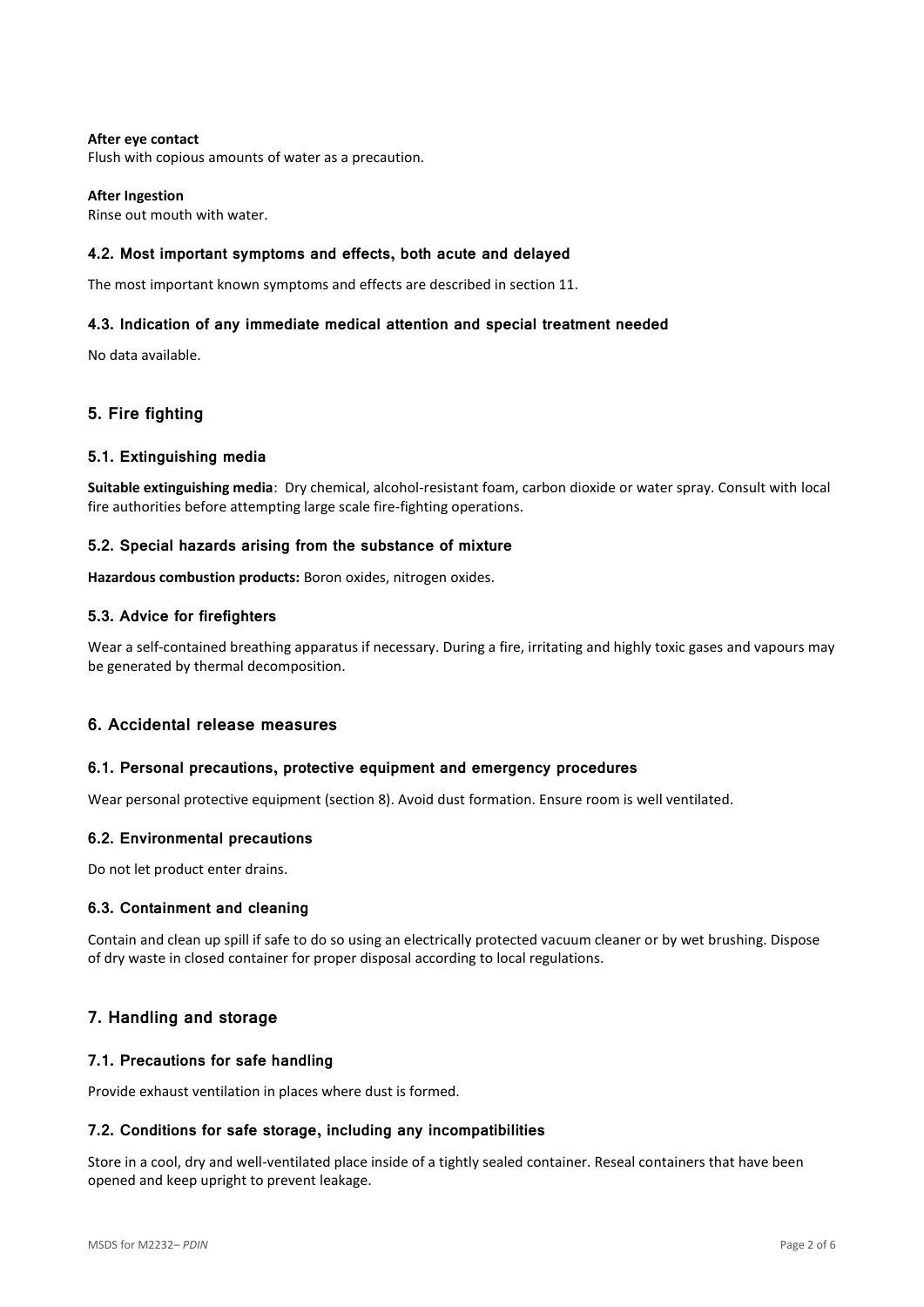## **After eye contact**

Flush with copious amounts of water as a precaution.

### **After Ingestion**

Rinse out mouth with water.

### **4.2. Most important symptoms and effects, both acute and delayed**

The most important known symptoms and effects are described in section 11.

### **4.3. Indication of any immediate medical attention and special treatment needed**

No data available.

## **5. Fire fighting**

### **5.1. Extinguishing media**

**Suitable extinguishing media**: Dry chemical, alcohol-resistant foam, carbon dioxide or water spray. Consult with local fire authorities before attempting large scale fire-fighting operations.

#### **5.2. Special hazards arising from the substance of mixture**

**Hazardous combustion products:** Boron oxides, nitrogen oxides.

### **5.3. Advice for firefighters**

Wear a self-contained breathing apparatus if necessary. During a fire, irritating and highly toxic gases and vapours may be generated by thermal decomposition.

## **6. Accidental release measures**

#### **6.1. Personal precautions, protective equipment and emergency procedures**

Wear personal protective equipment (section 8). Avoid dust formation. Ensure room is well ventilated.

### **6.2. Environmental precautions**

Do not let product enter drains.

#### **6.3. Containment and cleaning**

Contain and clean up spill if safe to do so using an electrically protected vacuum cleaner or by wet brushing. Dispose of dry waste in closed container for proper disposal according to local regulations.

## **7. Handling and storage**

#### **7.1. Precautions for safe handling**

Provide exhaust ventilation in places where dust is formed.

#### **7.2. Conditions for safe storage, including any incompatibilities**

Store in a cool, dry and well-ventilated place inside of a tightly sealed container. Reseal containers that have been opened and keep upright to prevent leakage.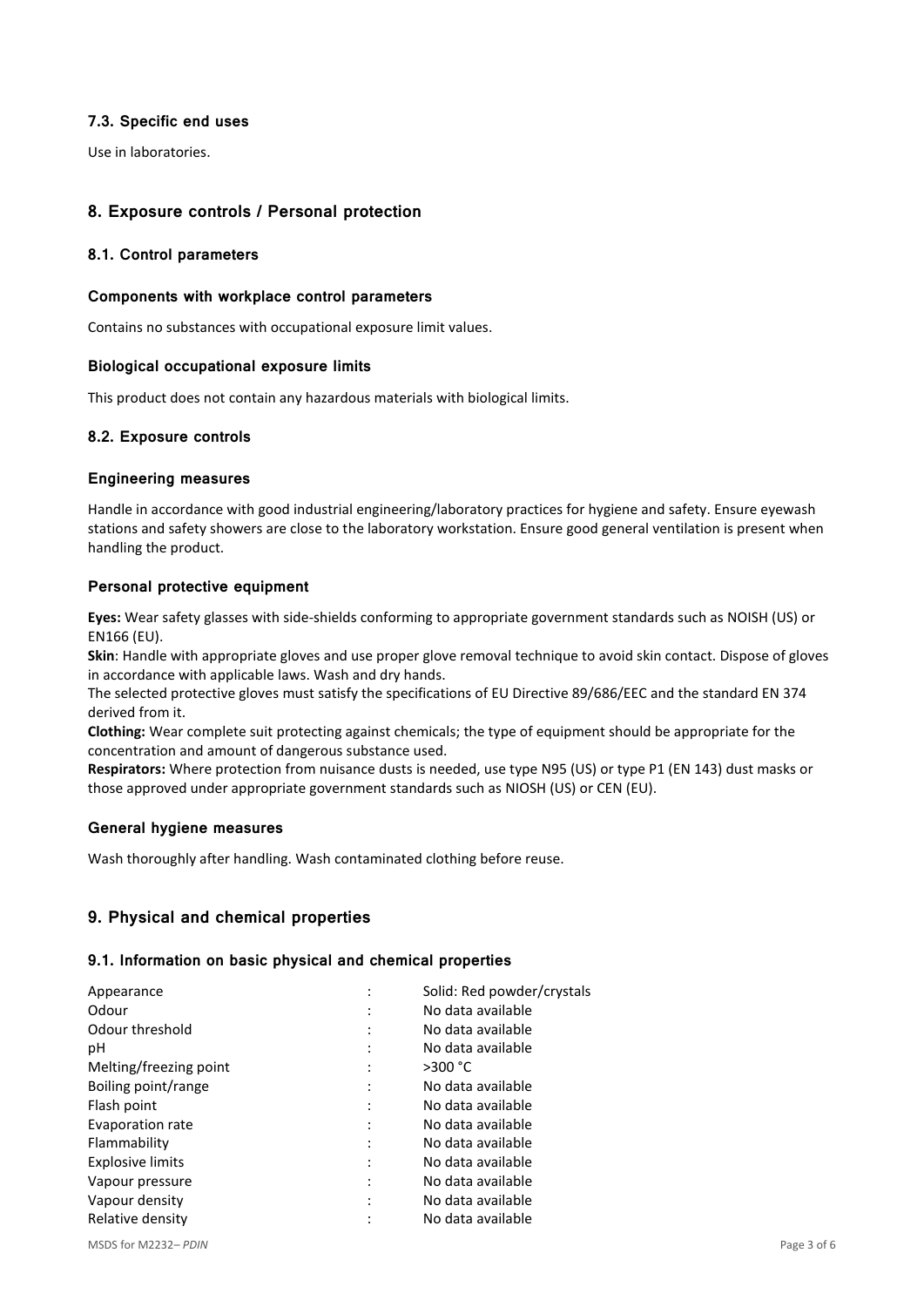## **7.3. Specific end uses**

Use in laboratories.

# **8. Exposure controls / Personal protection**

## **8.1. Control parameters**

## **Components with workplace control parameters**

Contains no substances with occupational exposure limit values.

## **Biological occupational exposure limits**

This product does not contain any hazardous materials with biological limits.

## **8.2. Exposure controls**

## **Engineering measures**

Handle in accordance with good industrial engineering/laboratory practices for hygiene and safety. Ensure eyewash stations and safety showers are close to the laboratory workstation. Ensure good general ventilation is present when handling the product.

## **Personal protective equipment**

**Eyes:** Wear safety glasses with side-shields conforming to appropriate government standards such as NOISH (US) or EN166 (EU).

**Skin**: Handle with appropriate gloves and use proper glove removal technique to avoid skin contact. Dispose of gloves in accordance with applicable laws. Wash and dry hands.

The selected protective gloves must satisfy the specifications of EU Directive 89/686/EEC and the standard EN 374 derived from it.

**Clothing:** Wear complete suit protecting against chemicals; the type of equipment should be appropriate for the concentration and amount of dangerous substance used.

**Respirators:** Where protection from nuisance dusts is needed, use type N95 (US) or type P1 (EN 143) dust masks or those approved under appropriate government standards such as NIOSH (US) or CEN (EU).

## **General hygiene measures**

Wash thoroughly after handling. Wash contaminated clothing before reuse.

# **9. Physical and chemical properties**

## **9.1. Information on basic physical and chemical properties**

| Appearance              | Solid: Red powder/crystals |
|-------------------------|----------------------------|
| Odour                   | No data available          |
| Odour threshold         | No data available          |
| рH                      | No data available          |
| Melting/freezing point  | >300 °C                    |
| Boiling point/range     | No data available          |
| Flash point             | No data available          |
| Evaporation rate        | No data available          |
| Flammability            | No data available          |
| <b>Explosive limits</b> | No data available          |
| Vapour pressure         | No data available          |
| Vapour density          | No data available          |
| Relative density        | No data available          |
|                         |                            |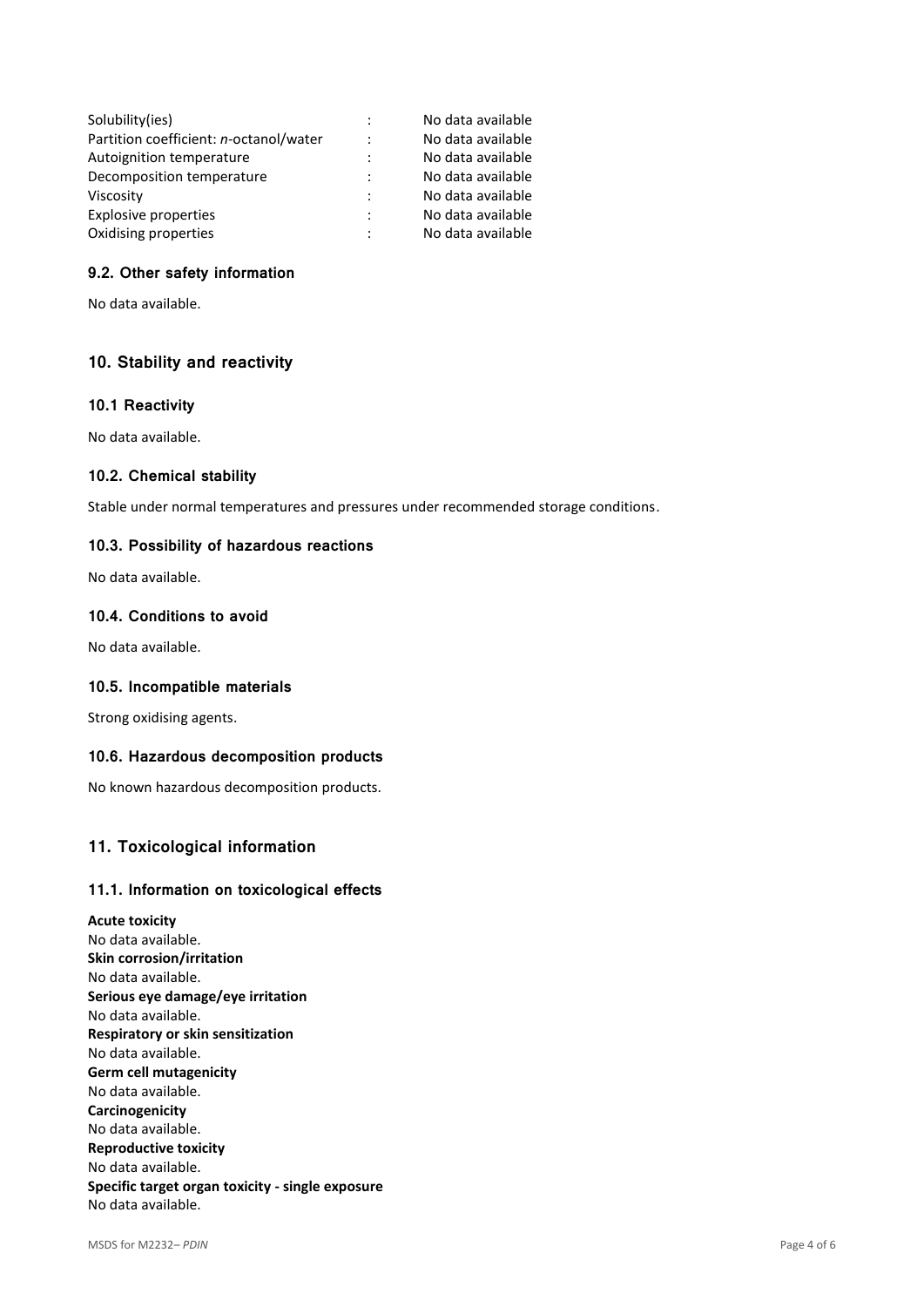|                | No data available |
|----------------|-------------------|
| $\ddot{\cdot}$ | No data available |
| $\ddot{\cdot}$ | No data available |
| $\ddot{\cdot}$ | No data available |
| $\ddot{\cdot}$ | No data available |
| $\ddot{\cdot}$ | No data available |
| $\ddot{\cdot}$ | No data available |
|                |                   |

# **9.2. Other safety information**

No data available.

## **10. Stability and reactivity**

### **10.1 Reactivity**

No data available.

### **10.2. Chemical stability**

Stable under normal temperatures and pressures under recommended storage conditions.

### **10.3. Possibility of hazardous reactions**

No data available.

## **10.4. Conditions to avoid**

No data available.

### **10.5. Incompatible materials**

Strong oxidising agents.

#### **10.6. Hazardous decomposition products**

No known hazardous decomposition products.

## **11. Toxicological information**

### **11.1. Information on toxicological effects**

**Acute toxicity** No data available. **Skin corrosion/irritation** No data available. **Serious eye damage/eye irritation** No data available. **Respiratory or skin sensitization** No data available. **Germ cell mutagenicity** No data available. **Carcinogenicity** No data available. **Reproductive toxicity** No data available. **Specific target organ toxicity - single exposure** No data available.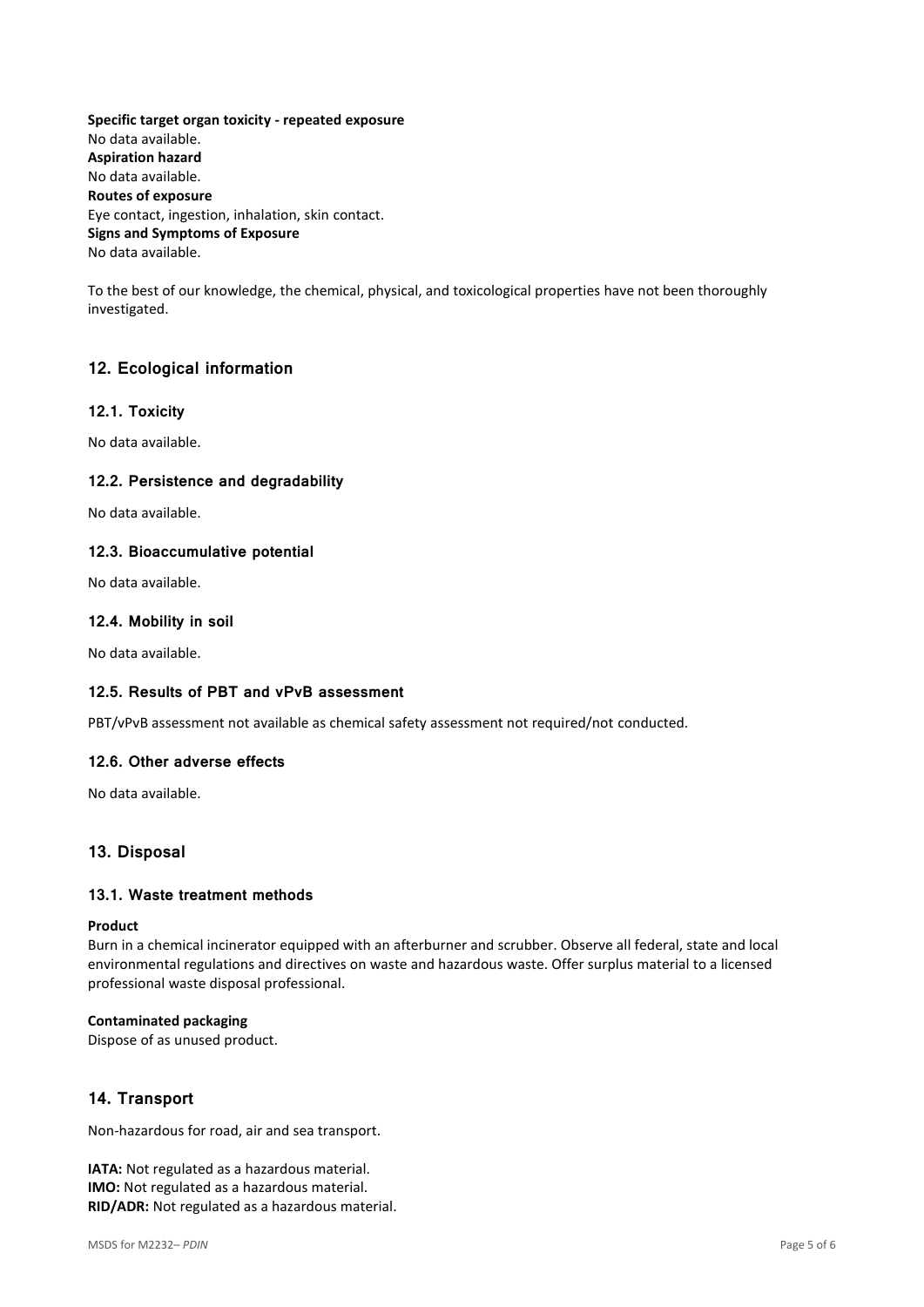**Specific target organ toxicity - repeated exposure** No data available. **Aspiration hazard** No data available. **Routes of exposure** Eye contact, ingestion, inhalation, skin contact. **Signs and Symptoms of Exposure** No data available.

To the best of our knowledge, the chemical, physical, and toxicological properties have not been thoroughly investigated.

# **12. Ecological information**

## **12.1. Toxicity**

No data available.

## **12.2. Persistence and degradability**

No data available.

## **12.3. Bioaccumulative potential**

No data available.

## **12.4. Mobility in soil**

No data available.

## **12.5. Results of PBT and vPvB assessment**

PBT/vPvB assessment not available as chemical safety assessment not required/not conducted.

#### **12.6. Other adverse effects**

No data available.

# **13. Disposal**

## **13.1. Waste treatment methods**

### **Product**

Burn in a chemical incinerator equipped with an afterburner and scrubber. Observe all federal, state and local environmental regulations and directives on waste and hazardous waste. Offer surplus material to a licensed professional waste disposal professional.

#### **Contaminated packaging**

Dispose of as unused product.

# **14. Transport**

Non-hazardous for road, air and sea transport.

**IATA:** Not regulated as a hazardous material. **IMO:** Not regulated as a hazardous material. **RID/ADR:** Not regulated as a hazardous material.